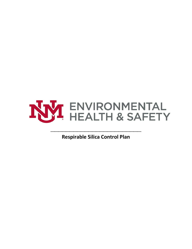

 **Respirable Silica Control Plan**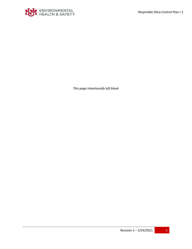

*This page intentionally left blank*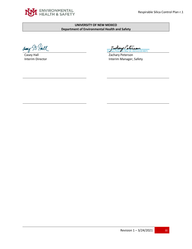

#### **UNIVERSITY OF NEW MEXICO Department of Environmental Health and Safety**

Cary 73 Hall

Casey Hall Interim Director

Zachary Peterso ary Peter on (Mar 24, 2021 12:09 MDT)

Zachary Peterson Interim Manager, Safety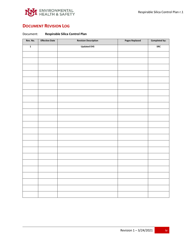

# **DOCUMENT REVISION LOG**

#### Document: **Respirable Silica Control Plan**

| Rev. No.                | <b>Effective Date</b> | <b>Revision Description</b> | <b>Pages Replaced</b> | Completed by: |
|-------------------------|-----------------------|-----------------------------|-----------------------|---------------|
| $\overline{\mathbf{1}}$ |                       | <b>Updated EHS</b>          |                       | SRC           |
|                         |                       |                             |                       |               |
|                         |                       |                             |                       |               |
|                         |                       |                             |                       |               |
|                         |                       |                             |                       |               |
|                         |                       |                             |                       |               |
|                         |                       |                             |                       |               |
|                         |                       |                             |                       |               |
|                         |                       |                             |                       |               |
|                         |                       |                             |                       |               |
|                         |                       |                             |                       |               |
|                         |                       |                             |                       |               |
|                         |                       |                             |                       |               |
|                         |                       |                             |                       |               |
|                         |                       |                             |                       |               |
|                         |                       |                             |                       |               |
|                         |                       |                             |                       |               |
|                         |                       |                             |                       |               |
|                         |                       |                             |                       |               |
|                         |                       |                             |                       |               |
|                         |                       |                             |                       |               |
|                         |                       |                             |                       |               |
|                         |                       |                             |                       |               |
|                         |                       |                             |                       |               |
|                         |                       |                             |                       |               |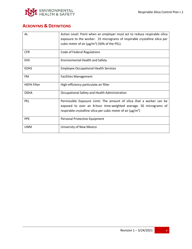

# **ACRONYMS & DEFINITIONS**

| AL                 | Action Level: Point when an employer must act to reduce respirable silica       |
|--------------------|---------------------------------------------------------------------------------|
|                    | exposure to the worker. 25 micrograms of respirable crystalline silica per      |
|                    | cubic meter of air ( $\mu$ g/m <sup>3</sup> ) (50% of the PEL).                 |
| <b>CFR</b>         | Code of Federal Regulations                                                     |
| <b>EHS</b>         | <b>Environmental Health and Safety</b>                                          |
| <b>EOHS</b>        | <b>Employee Occupational Health Services</b>                                    |
| FM                 | <b>Facilities Management</b>                                                    |
| <b>HEPA Filter</b> | High-efficiency particulate air filter                                          |
| <b>OSHA</b>        | Occupational Safety and Health Administration                                   |
| PEL                | Permissible Exposure Limit: The amount of silica that a worker can be           |
|                    | exposed to over an 8-hour time-weighted average. 50 micrograms of               |
|                    | respirable crystalline silica per cubic meter of air ( $\mu$ g/m <sup>3</sup> ) |
| <b>PPE</b>         | Personal Protective Equipment                                                   |
| <b>UNM</b>         | University of New Mexico                                                        |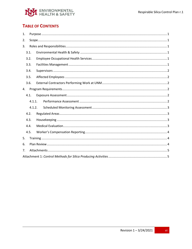

# **TABLE OF CONTENTS**

| 1. |        |  |  |  |  |
|----|--------|--|--|--|--|
| 2. |        |  |  |  |  |
| 3. |        |  |  |  |  |
|    | 3.1.   |  |  |  |  |
|    | 3.2.   |  |  |  |  |
|    | 3.3.   |  |  |  |  |
|    | 3.4.   |  |  |  |  |
|    | 3.5.   |  |  |  |  |
|    | 3.6.   |  |  |  |  |
| 4. |        |  |  |  |  |
|    | 4.1.   |  |  |  |  |
|    | 4.1.1. |  |  |  |  |
|    | 4.1.2. |  |  |  |  |
|    | 4.2.   |  |  |  |  |
|    | 4.3.   |  |  |  |  |
|    | 4.4.   |  |  |  |  |
|    | 4.5.   |  |  |  |  |
| 5. |        |  |  |  |  |
| 6. |        |  |  |  |  |
| 7. |        |  |  |  |  |
|    |        |  |  |  |  |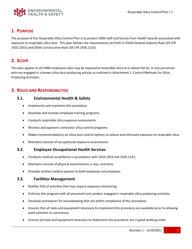<span id="page-6-0"></span>

## **1. PURPOSE**

The purpose of this Respirable Silica Control Plan is to protect UNM staff and faculty from health hazards associated with exposure to respirable silica dust. This plan follows the requirements set forth in OSHA General Industry Rule (29 CFR 1910.1053) and OSHA Construction Rule (29 CFR 1926.1153).

## **2. SCOPE**

This plan applies to all UNM employees who may be exposed to respirable silica at or above the AL, or any personnel who are engaged in a known silica dust producing activity as outlined in Attachment 1: Control Methods for Silica Producing Activities.

## **3. ROLES AND RESPONSIBILITIES**

### **3.1. Environmental Health & Safety**

- Implements and maintains this procedure.
- Develops and reviews employee training programs.
- Conducts respirable silica exposure assessments.
- Reviews and approves contractor silica control programs.
- Makes recommendations on silica dust control options to reduce and eliminate exposure to respirable silica.
- Maintains records of occupational exposure assessments.

### **3.2. Employee Occupational Health Services**

- Conducts medical surveillance in accordance with 1910.1053 and 1926.1153.
- Maintains records of physical examinations, x-rays, and tests.
- Provides written medical opinion to both employee and employer.

### **3.3. Facilities Management**

- Notifies EHS of activities that may require exposure monitoring.
- Enforces this program with all personnel and vendors engaged in respirable silica producing activities.
- Develops procedures for housekeeping that are within compliance of this procedure.
- Ensures that all tools and equipment necessary to implement this procedure are available prior to allowing work activities to commence.
- Ensures all tools and equipment necessary to implement this procedure are in good working order.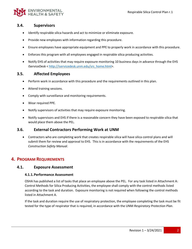<span id="page-7-0"></span>

### **3.4. Supervisors**

- Identify respirable silica hazards and act to minimize or eliminate exposure.
- Provide new employees with information regarding this procedure.
- Ensure employees have appropriate equipment and PPE to properly work in accordance with this procedure.
- Enforces this program with all employees engaged in respirable silica producing activities.
- Notify EHS of activities that may require exposure monitoring 10 business days in advance through the EHS iServiceDesk [< http://iservicedesk.unm.edu/srs\\_home.html>](http://iservicedesk.unm.edu/srs_home.html).

## **3.5. Affected Employees**

- Perform work in accordance with this procedure and the requirements outlined in this plan.
- Attend training sessions.
- Comply with surveillance and monitoring requirements.
- Wear required PPE.
- Notify supervisors of activities that may require exposure monitoring.
- Notify supervisors and EHS if there is a reasonable concern they have been exposed to respirable silica that would place them above the PEL.

### **3.6. External Contractors Performing Work at UNM**

• Contractors who are completing work that creates respirable silica will have silica control plans and will submit them for review and approval to EHS. This is in accordance with the requirements of the EHS *Construction Safety Manual*.

## **4. PROGRAM REQUIREMENTS**

### **4.1. Exposure Assessment**

### **4.1.1.Performance Assessment**

OSHA has published a list of tasks that place an employee above the PEL. For any task listed in Attachment A: Control Methods for Silica Producing Activities, the employee shall comply with the control methods listed according to the task and duration. Exposure monitoring is not required when following the control methods listed in Attachment A.

If the task and duration require the use of respiratory protection, the employee completing the task must be fit tested for the type of respirator that is required, in accordance with the UNM *Respiratory Protection Plan*.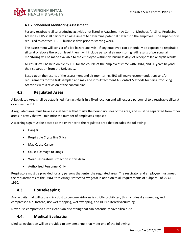<span id="page-8-0"></span>

### **4.1.2.Scheduled Monitoring Assessment**

For any respirable silica producing activities not listed in Attachment A: Control Methods for Silica Producing Activities, EHS shall perform an assessment to determine potential hazards to the employee. The supervisor is required to contact EHS 10 business days prior to starting work.

The assessment will consist of a job hazard analysis. If any employee can potentially be exposed to respirable silica at or above the action level, then it will include personal air monitoring. All results of personal air monitoring will be made available to the employee within five business days of receipt of lab analysis results.

All results will be held on file by EHS for the course of the employee's time with UNM, and 30 years beyond their separation from the University.

Based upon the results of the assessment and air monitoring, EHS will make recommendations and/or requirements for the task sampled and may add it to Attachment A: Control Methods for Silica Producing Activities with a revision of the control plan.

### **4.2. Regulated Areas**

A Regulated Area shall be established if an activity is in a fixed location and will expose personnel to a respirable silica at or above the PEL.

A regulated area must have a visual barrier that marks the boundary lines of the area, and must be separated from other areas in a way that will minimize the number of employees exposed.

A warning sign must be posted at the entrance to the regulated area that includes the following:

- Danger
- Respirable Crystalline Silica
- May Cause Cancer
- Causes Damage to Lungs
- Wear Respiratory Protection in this Area
- Authorized Personnel Only

Respirators must be provided for any persons that enter the regulated area. The respirator and employee must meet the requirements of the UNM *Respiratory Protection Program* in addition to all requirements of Subpart E of 29 CFR 1910.

### **4.3. Housekeeping**

Any activity that will cause silica dust to become airborne is strictly prohibited, this includes dry sweeping and compressed air. Instead, use wet mopping, wet sweeping, and HEPA filtered vacuuming.

Never use compressed air to clean skin or clothing that can potentially have silica dust.

## **4.4. Medical Evaluation**

Medical evaluation will be provided to any personnel that meet one of the following: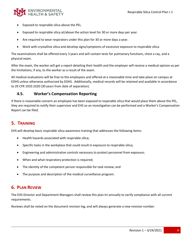<span id="page-9-0"></span>

- Exposed to respirable silica above the PEL.
- Exposed to respirable silica at/above the action level for 30 or more days per year.
- Are required to wear respirators under this plan for 30 or more days a year.
- Work with crystalline silica and develop signs/symptoms of excessive exposure to respirable silica.

The examinations shall be offered every 3 years and will contain tests for pulmonary functions, chest x-ray, and a physical exam.

After the exam, the worker will get a report detailing their health and the employer will receive a medical opinion as per the limitations, if any, to the worker as a result of the exam.

All medical evaluations will be free to the employees and offered at a reasonable time and take place on campus at EOHS unless otherwise authorized by EOHS. Additionally, medical records will be retained and available in accordance to 29 CFR 1910.1020 (30 years from date of separation).

## **4.5. Worker's Compensation Reporting**

If there is reasonable concern an employee has been exposed to respirable silica that would place them above the PEL, they are required to notify their supervisor and EHS so an investigation can be performed and a Worker's Compensation Report can be filed.

## **5. TRAINING**

EHS will develop basic respirable silica awareness training that addresses the following items:

- Health hazards associated with respirable silica;
- Specific tasks in the workplace that could result in exposure to respirable silica;
- Engineering and administrative controls necessary to protect personnel from exposure;
- When and what respiratory protection is required;
- The identity of the competent person responsible for task review; and
- The purpose and description of the medical surveillance program.

# **6. PLAN REVIEW**

The EHS Director and Department Managers shall review this plan tri-annually to verify compliance with all current requirements.

Reviews shall be noted on the document revision log, and will always generate a new revision number.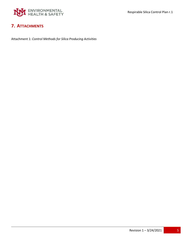<span id="page-10-0"></span>

# **7. ATTACHMENTS**

Attachment 1: *Control Methods for Silica Producing Activities*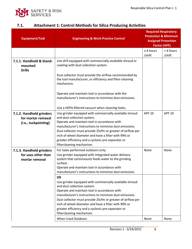

| <b>Equipment/Task</b>                                                  | <b>Engineering &amp; Work Practice Control</b>                                                                                                                                                                                                                                                                                                                                                                                                 | <b>Required Respiratory</b><br><b>Protection &amp; Minimum</b><br><b>Assigned Protection</b><br><b>Factor (APF)</b> |                     |
|------------------------------------------------------------------------|------------------------------------------------------------------------------------------------------------------------------------------------------------------------------------------------------------------------------------------------------------------------------------------------------------------------------------------------------------------------------------------------------------------------------------------------|---------------------------------------------------------------------------------------------------------------------|---------------------|
|                                                                        |                                                                                                                                                                                                                                                                                                                                                                                                                                                | $\leq$ 4 hours<br>/shift                                                                                            | > 4 hours<br>/shift |
| 7.1.1. Handheld & Stand-<br>mounted<br><b>Drills</b>                   | Use drill equipped with commercially-available shroud or<br>cowling with dust collection system.                                                                                                                                                                                                                                                                                                                                               |                                                                                                                     |                     |
|                                                                        | Dust collector must provide the airflow recommended by<br>the tool manufacturer, or efficiency and filter-cleaning<br>mechanism.                                                                                                                                                                                                                                                                                                               |                                                                                                                     |                     |
|                                                                        | Operate and maintain tool in accordance with the<br>manufacturer's instructions to minimize dust emissions.                                                                                                                                                                                                                                                                                                                                    |                                                                                                                     |                     |
|                                                                        | Use a HEPA-filtered vacuum when cleaning holes.                                                                                                                                                                                                                                                                                                                                                                                                |                                                                                                                     |                     |
| 7.1.2. Handheld grinders<br>for mortar removal<br>(i.e., tuckpointing) | Use grinder equipped with commercially available shroud<br>and dust collection system.<br>Operate and maintain tool in accordance with<br>manufacturer's instructions to minimize dust emissions.<br>Dust collector must provide 25cfm or greater of airflow per<br>inch of wheel diameter and have a filter with 99% or<br>greater efficiency and a cyclonic pre-separator or<br>filtercleaning mechanism.                                    | <b>APF 10</b>                                                                                                       | <b>APF 10</b>       |
| 7.1.3. Handheld grinders<br>for uses other than<br>mortar removal      | For tasks performed outdoors only:<br>Use grinder equipped with integrated water delivery<br>system that continuously feeds water to the grinding<br>surface.<br>Operate and maintain tool in accordance with<br>manufacturer's instructions to minimize dust emissions                                                                                                                                                                        | None                                                                                                                | None                |
|                                                                        | <b>OR</b><br>Use grinder equipped with commercially available shroud<br>and dust collection system.<br>Operate and maintain tool in accordance with<br>manufacturer's instructions to minimize dust emissions.<br>Dust collector must provide 25cfm or greater of airflow per<br>inch of wheel diameter and have a filter with 99% or<br>greater efficiency and a cyclonic pre-separator or<br>filtercleaning mechanism.<br>When Used Outdoors | None                                                                                                                | None                |

# **7.1. Attachment 1: Control Methods for Silica Producing Activities**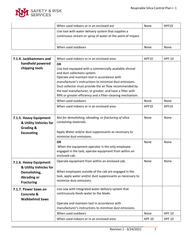

| When used indoors or in an enclosed are                                                                            | None | APF10 |
|--------------------------------------------------------------------------------------------------------------------|------|-------|
| Use tool with water delivery system that supplies a<br>continuous stream or spray of water at the point of impact. |      |       |
| When used outdoors                                                                                                 | None | None  |

| 7.1.4. Jackhammers and | When used indoors or in an enclosed area                   | APF10         | <b>APF 10</b> |
|------------------------|------------------------------------------------------------|---------------|---------------|
| handheld powered       | <b>OR</b>                                                  |               |               |
| chipping tools         | Use tool equipped with a commercially available shroud     |               |               |
|                        | and dust collections system.                               |               |               |
|                        | Operate and maintain tool in accordance with               |               |               |
|                        | manufacturer's instructions to minimize dust emissions.    |               |               |
|                        | Dust collector must provide the air flow recommended by    |               |               |
|                        | the tool manufacturer, or greater, and have a filter with  |               |               |
|                        | 99% or greater efficiency and a filter-cleaning mechanism. |               |               |
|                        | When used outdoors                                         | None          | None          |
|                        | When used indoors or in an enclosed area                   | APF10         | APF10         |
|                        |                                                            |               |               |
| 7.1.5. Heavy Equipment | Not for demolishing, abrading, or fracturing of silica     | None          | None          |
| & Utility Vehicles for | containing materials.                                      |               |               |
| <b>Grading &amp;</b>   |                                                            |               |               |
| <b>Excavating</b>      | Apply Water and/or dust suppressants as necessary to       |               |               |
|                        | minimize dust emissions.                                   |               |               |
|                        | <b>OR</b>                                                  | None          | None          |
|                        | When the equipment operator is the only employee           |               |               |
|                        | engaged in the task, operate equipment from within an      |               |               |
|                        | enclosed cab.                                              |               |               |
| 7.1.6. Heavy Equipment | Operate equipment from within an enclosed cab.             | None          | None          |
| & Utility Vehicles for |                                                            |               |               |
| Demolishing,           | When employees outside of the cab are engaged in the       |               |               |
| <b>Abrading or</b>     | task, apply water and/or dust suppressants as necessary to |               |               |
| <b>Fracturing</b>      | minimize dust emissions.                                   |               |               |
|                        |                                                            |               |               |
| 7.1.7. Power Saws on   | Use saw with integrated water delivery system that         |               |               |
| <b>Concrete &amp;</b>  | continuously feeds water to the blade.                     |               |               |
| <b>Walkbehind Saws</b> |                                                            |               |               |
|                        | Operate and maintain tool in accordance with               |               |               |
|                        | manufacturer's instructions to minimize dust emissions.    |               |               |
|                        | When used outdoors                                         | None          | <b>APF 10</b> |
|                        | When used indoors or in an enclosed area                   | <b>APF 10</b> | <b>APF 10</b> |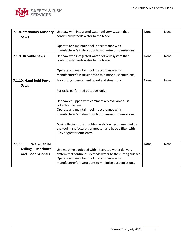

| 7.1.8. Stationary Masonry<br><b>Saws</b>                | Use saw with integrated water delivery system that<br>continuously feeds water to the blade.                                                                                                                                   | None | None |
|---------------------------------------------------------|--------------------------------------------------------------------------------------------------------------------------------------------------------------------------------------------------------------------------------|------|------|
|                                                         | Operate and maintain tool in accordance with<br>manufacturer's instructions to minimize dust emissions.                                                                                                                        |      |      |
| 7.1.9. Drivable Saws                                    | Use saw with integrated water delivery system that<br>continuously feeds water to the blade.                                                                                                                                   | None | None |
|                                                         | Operate and maintain tool in accordance with<br>manufacturer's instructions to minimize dust emissions.                                                                                                                        |      |      |
| 7.1.10. Hand-held Power                                 | For cutting fiber-cement board and sheet rock.                                                                                                                                                                                 | None | None |
| <b>Saws</b>                                             | For tasks performed outdoors only:                                                                                                                                                                                             |      |      |
|                                                         | Use saw equipped with commercially available dust<br>collection system.                                                                                                                                                        |      |      |
|                                                         | Operate and maintain tool in accordance with<br>manufacturer's instructions to minimize dust emissions.                                                                                                                        |      |      |
|                                                         | Dust collector must provide the airflow recommended by<br>the tool manufacturer, or greater, and have a filter with<br>99% or greater efficiency.                                                                              |      |      |
| <b>Walk-Behind</b><br>7.1.11.                           |                                                                                                                                                                                                                                | None | None |
| <b>Milling</b><br><b>Machines</b><br>and Floor Grinders | Use machine equipped with integrated water delivery<br>system that continuously feeds water to the cutting surface.<br>Operate and maintain tool in accordance with<br>manufacturer's instructions to minimize dust emissions. |      |      |